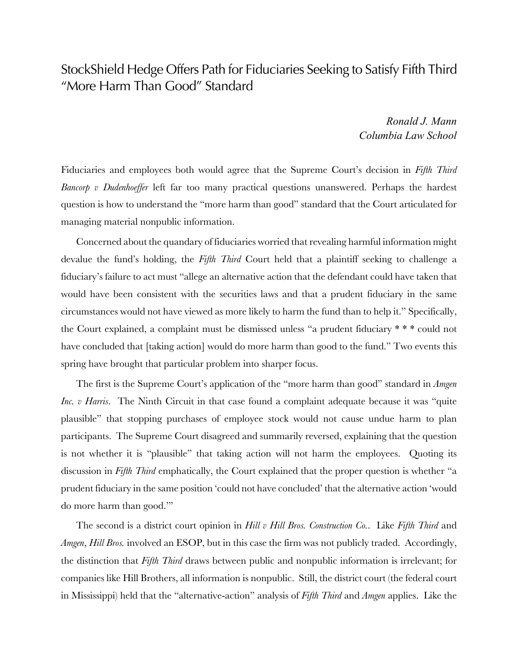## StockShield Hedge Offers Path for Fiduciaries Seeking to Satisfy Fifth Third "More Harm Than Good" Standard

*Ronald J. Mann Columbia Law School*

Fiduciaries and employees both would agree that the Supreme Court's decision in *Fifth Third Bancorp v Dudenhoeffer* left far too many practical questions unanswered. Perhaps the hardest question is how to understand the "more harm than good" standard that the Court articulated for managing material nonpublic information.

Concerned about the quandary of fiduciaries worried that revealing harmful information might devalue the fund's holding, the *Fifth Third* Court held that a plaintiff seeking to challenge a fiduciary's failure to act must "allege an alternative action that the defendant could have taken that would have been consistent with the securities laws and that a prudent fiduciary in the same circumstances would not have viewed as more likely to harm the fund than to help it." Specifically, the Court explained, a complaint must be dismissed unless "a prudent fiduciary \* \* \* could not have concluded that [taking action] would do more harm than good to the fund." Two events this spring have brought that particular problem into sharper focus.

The first is the Supreme Court's application of the "more harm than good" standard in *Amgen Inc. v Harris*. The Ninth Circuit in that case found a complaint adequate because it was "quite plausible" that stopping purchases of employee stock would not cause undue harm to plan participants. The Supreme Court disagreed and summarily reversed, explaining that the question is not whether it is "plausible" that taking action will not harm the employees. Quoting its discussion in *Fifth Third* emphatically, the Court explained that the proper question is whether "a prudent fiduciary in the same position 'could not have concluded' that the alternative action 'would do more harm than good.'"

The second is a district court opinion in *Hill v Hill Bros. Construction Co.*. Like *Fifth Third* and *Amgen*, *Hill Bros.* involved an ESOP, but in this case the firm was not publicly traded. Accordingly, the distinction that *Fifth Third* draws between public and nonpublic information is irrelevant; for companies like Hill Brothers, all information is nonpublic. Still, the district court (the federal court in Mississippi) held that the "alternative-action" analysis of *Fifth Third* and *Amgen* applies. Like the